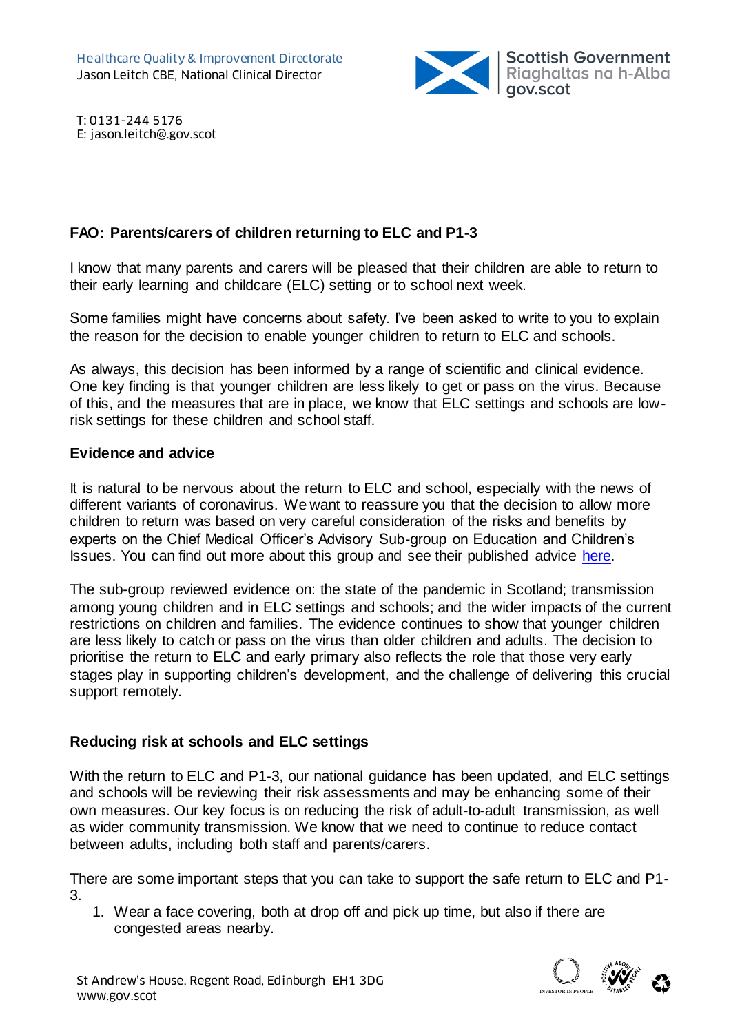

T: 0131-244 5176 E: jason.leitch@.gov.scot

## **FAO: Parents/carers of children returning to ELC and P1-3**

I know that many parents and carers will be pleased that their children are able to return to their early learning and childcare (ELC) setting or to school next week.

Some families might have concerns about safety. I've been asked to write to you to explain the reason for the decision to enable younger children to return to ELC and schools.

As always, this decision has been informed by a range of scientific and clinical evidence. One key finding is that younger children are less likely to get or pass on the virus. Because of this, and the measures that are in place, we know that ELC settings and schools are lowrisk settings for these children and school staff.

### **Evidence and advice**

It is natural to be nervous about the return to ELC and school, especially with the news of different variants of coronavirus. We want to reassure you that the decision to allow more children to return was based on very careful consideration of the risks and benefits by experts on the Chief Medical Officer's Advisory Sub-group on Education and Children's Issues. You can find out more about this group and see their published advice [here.](https://www.gov.scot/publications/coronavirus-covid-19-advisory-sub-group-on-education-and-childrens-issues/)

The sub-group reviewed evidence on: the state of the pandemic in Scotland; transmission among young children and in ELC settings and schools; and the wider impacts of the current restrictions on children and families. The evidence continues to show that younger children are less likely to catch or pass on the virus than older children and adults. The decision to prioritise the return to ELC and early primary also reflects the role that those very early stages play in supporting children's development, and the challenge of delivering this crucial support remotely.

### **Reducing risk at schools and ELC settings**

With the return to ELC and P1-3, our national guidance has been updated, and ELC settings and schools will be reviewing their risk assessments and may be enhancing some of their own measures. Our key focus is on reducing the risk of adult-to-adult transmission, as well as wider community transmission. We know that we need to continue to reduce contact between adults, including both staff and parents/carers.

There are some important steps that you can take to support the safe return to ELC and P1- 3.

1. Wear a face covering, both at drop off and pick up time, but also if there are congested areas nearby.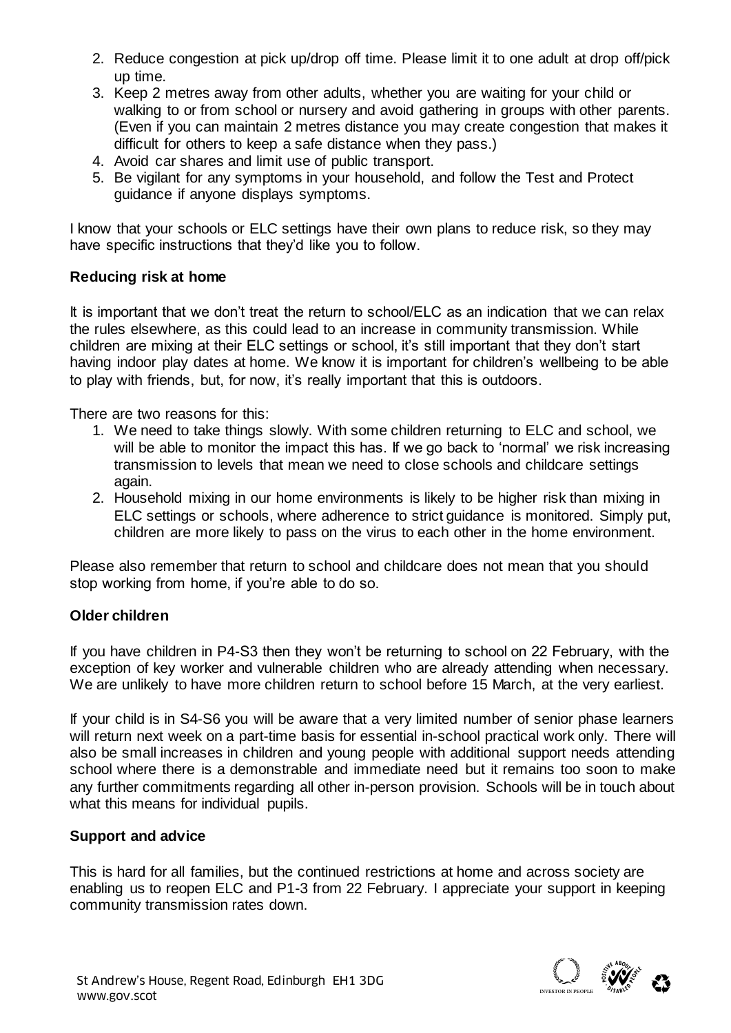- 2. Reduce congestion at pick up/drop off time. Please limit it to one adult at drop off/pick up time.
- 3. Keep 2 metres away from other adults, whether you are waiting for your child or walking to or from school or nursery and avoid gathering in groups with other parents. (Even if you can maintain 2 metres distance you may create congestion that makes it difficult for others to keep a safe distance when they pass.)
- 4. Avoid car shares and limit use of public transport.
- 5. Be vigilant for any symptoms in your household, and follow the Test and Protect guidance if anyone displays symptoms.

I know that your schools or ELC settings have their own plans to reduce risk, so they may have specific instructions that they'd like you to follow.

### **Reducing risk at home**

It is important that we don't treat the return to school/ELC as an indication that we can relax the rules elsewhere, as this could lead to an increase in community transmission. While children are mixing at their ELC settings or school, it's still important that they don't start having indoor play dates at home. We know it is important for children's wellbeing to be able to play with friends, but, for now, it's really important that this is outdoors.

There are two reasons for this:

- 1. We need to take things slowly. With some children returning to ELC and school, we will be able to monitor the impact this has. If we go back to 'normal' we risk increasing transmission to levels that mean we need to close schools and childcare settings again.
- 2. Household mixing in our home environments is likely to be higher risk than mixing in ELC settings or schools, where adherence to strict guidance is monitored. Simply put, children are more likely to pass on the virus to each other in the home environment.

Please also remember that return to school and childcare does not mean that you should stop working from home, if you're able to do so.

# **Older children**

If you have children in P4-S3 then they won't be returning to school on 22 February, with the exception of key worker and vulnerable children who are already attending when necessary. We are unlikely to have more children return to school before 15 March, at the very earliest.

If your child is in S4-S6 you will be aware that a very limited number of senior phase learners will return next week on a part-time basis for essential in-school practical work only. There will also be small increases in children and young people with additional support needs attending school where there is a demonstrable and immediate need but it remains too soon to make any further commitments regarding all other in-person provision. Schools will be in touch about what this means for individual pupils.

# **Support and advice**

This is hard for all families, but the continued restrictions at home and across society are enabling us to reopen ELC and P1-3 from 22 February. I appreciate your support in keeping community transmission rates down.